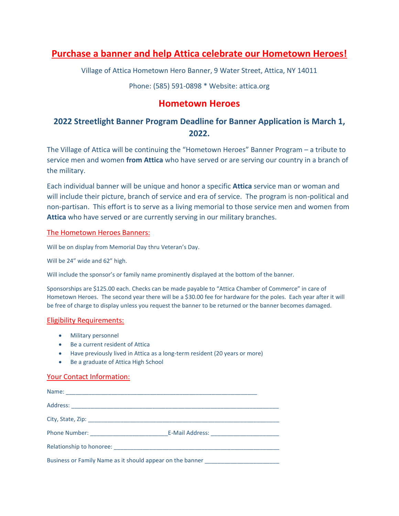# **Purchase a banner and help Attica celebrate our Hometown Heroes!**

Village of Attica Hometown Hero Banner, 9 Water Street, Attica, NY 14011

Phone: (585) 591-0898 \* Website: attica.org

## **Hometown Heroes**

## **2022 Streetlight Banner Program Deadline for Banner Application is March 1, 2022.**

The Village of Attica will be continuing the "Hometown Heroes" Banner Program – a tribute to service men and women **from Attica** who have served or are serving our country in a branch of the military.

Each individual banner will be unique and honor a specific **Attica** service man or woman and will include their picture, branch of service and era of service. The program is non-political and non-partisan. This effort is to serve as a living memorial to those service men and women from **Attica** who have served or are currently serving in our military branches.

## The Hometown Heroes Banners:

Will be on display from Memorial Day thru Veteran's Day.

Will be 24" wide and 62" high.

Will include the sponsor's or family name prominently displayed at the bottom of the banner.

Sponsorships are \$125.00 each. Checks can be made payable to "Attica Chamber of Commerce" in care of Hometown Heroes. The second year there will be a \$30.00 fee for hardware for the poles. Each year after it will be free of charge to display unless you request the banner to be returned or the banner becomes damaged.

## Eligibility Requirements:

- Military personnel
- Be a current resident of Attica
- Have previously lived in Attica as a long-term resident (20 years or more)
- Be a graduate of Attica High School

## Your Contact Information:

| Phone Number: E-Mail Address: E-Mail Address:                                    |  |  |
|----------------------------------------------------------------------------------|--|--|
|                                                                                  |  |  |
| Business or Family Name as it should appear on the banner ______________________ |  |  |